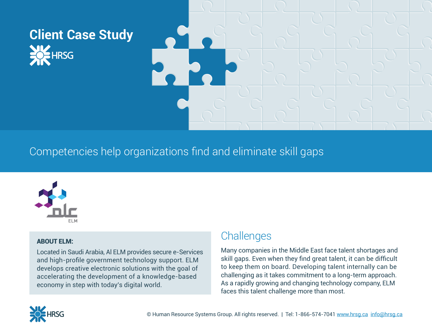# **Client Case Study UZ**<br>OF HRSG



Competencies help organizations find and eliminate skill gaps



#### ABOUT ELM:

Located in Saudi Arabia, Al ELM provides secure e-Services and high-profile government technology support. ELM develops creative electronic solutions with the goal of accelerating the development of a knowledge-based economy in step with today's digital world.

## **Challenges**

Many companies in the Middle East face talent shortages and skill gaps. Even when they find great talent, it can be difficult to keep them on board. Developing talent internally can be challenging as it takes commitment to a long-term approach. As a rapidly growing and changing technology company, ELM faces this talent challenge more than most.

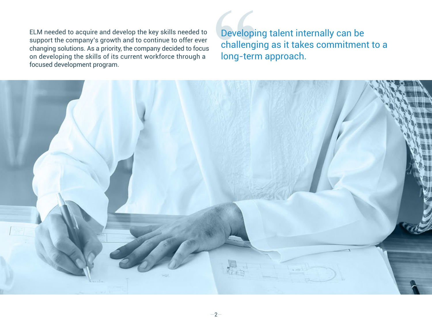ELM needed to acquire and develop the key skills needed to support the company's growth and to continue to offer ever changing solutions. As a priority, the company decided to focus on developing the skills of its current workforce through a focused development program.

Developing talent internally can be challenging as it takes commitment to a long-term approach.

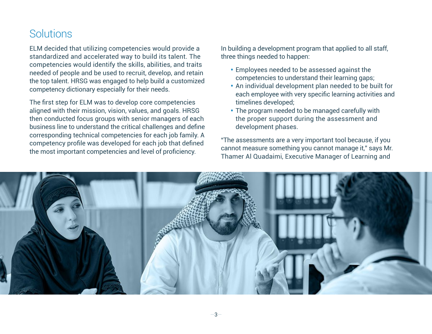### **Solutions**

ELM decided that utilizing competencies would provide a standardized and accelerated way to build its talent. The competencies would identify the skills, abilities, and traits needed of people and be used to recruit, develop, and retain the top talent. HRSG was engaged to help build a customized competency dictionary especially for their needs.

The first step for ELM was to develop core competencies aligned with their mission, vision, values, and goals. HRSG then conducted focus groups with senior managers of each business line to understand the critical challenges and define corresponding technical competencies for each job family. A competency profile was developed for each job that defined the most important competencies and level of proficiency.

In building a development program that applied to all staff, three things needed to happen:

- Employees needed to be assessed against the competencies to understand their learning gaps;
- An individual development plan needed to be built for each employee with very specific learning activities and timelines developed;
- The program needed to be managed carefully with the proper support during the assessment and development phases.

"The assessments are a very important tool because, if you cannot measure something you cannot manage it," says Mr. Thamer Al Quadaimi, Executive Manager of Learning and

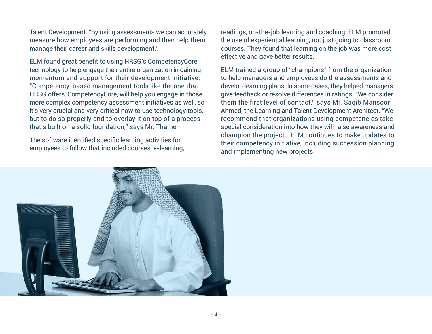Talent Development. "By using assessments we can accurately measure how employees are performing and then help them manage their career and skills development."

ELM found great benefit to using HRSG's CompetencyCore technology to help engage their entire organization in gaining momentum and support for their development initiative. "Competency-based management tools like the one that HRSG offers, CompetencyCore, will help you engage in those more complex competency assessment initiatives as well, so it's very crucial and very critical now to use technology tools, but to do so properly and to overlay it on top of a process that's built on a solid foundation," says Mr. Thamer.

The software identified specific learning activities for employees to follow that included courses, e-learning, readings, on-the-job learning and coaching. ELM promoted the use of experiential learning, not just going to classroom courses. They found that learning on the job was more cost effective and gave better results.

ELM trained a group of "champions" from the organization to help managers and employees do the assessments and develop learning plans. In some cases, they helped managers give feedback or resolve differences in ratings. "We consider them the first level of contact," says Mr. Saqib Mansoor Ahmed, the Learning and Talent Development Architect. "We recommend that organizations using competencies take special consideration into how they will raise awareness and champion the project." ELM continues to make updates to their competency initiative, including succession planning and implementing new projects.

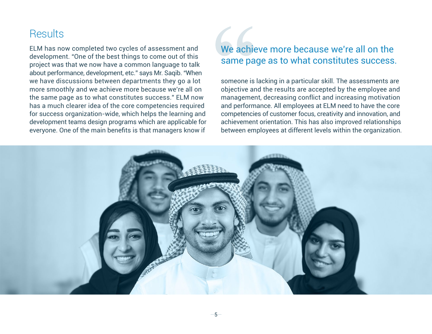### **Results**

ELM has now completed two cycles of assessment and development. "One of the best things to come out of this project was that we now have a common language to talk about performance, development, etc." says Mr. Saqib. "When we have discussions between departments they go a lot more smoothly and we achieve more because we're all on the same page as to what constitutes success." ELM now has a much clearer idea of the core competencies required for success organization-wide, which helps the learning and development teams design programs which are applicable for everyone. One of the main benefits is that managers know if

#### We achieve more because we're all on the same page as to what constitutes success.

someone is lacking in a particular skill. The assessments are objective and the results are accepted by the employee and management, decreasing conflict and increasing motivation and performance. All employees at ELM need to have the core competencies of customer focus, creativity and innovation, and achievement orientation. This has also improved relationships between employees at different levels within the organization.